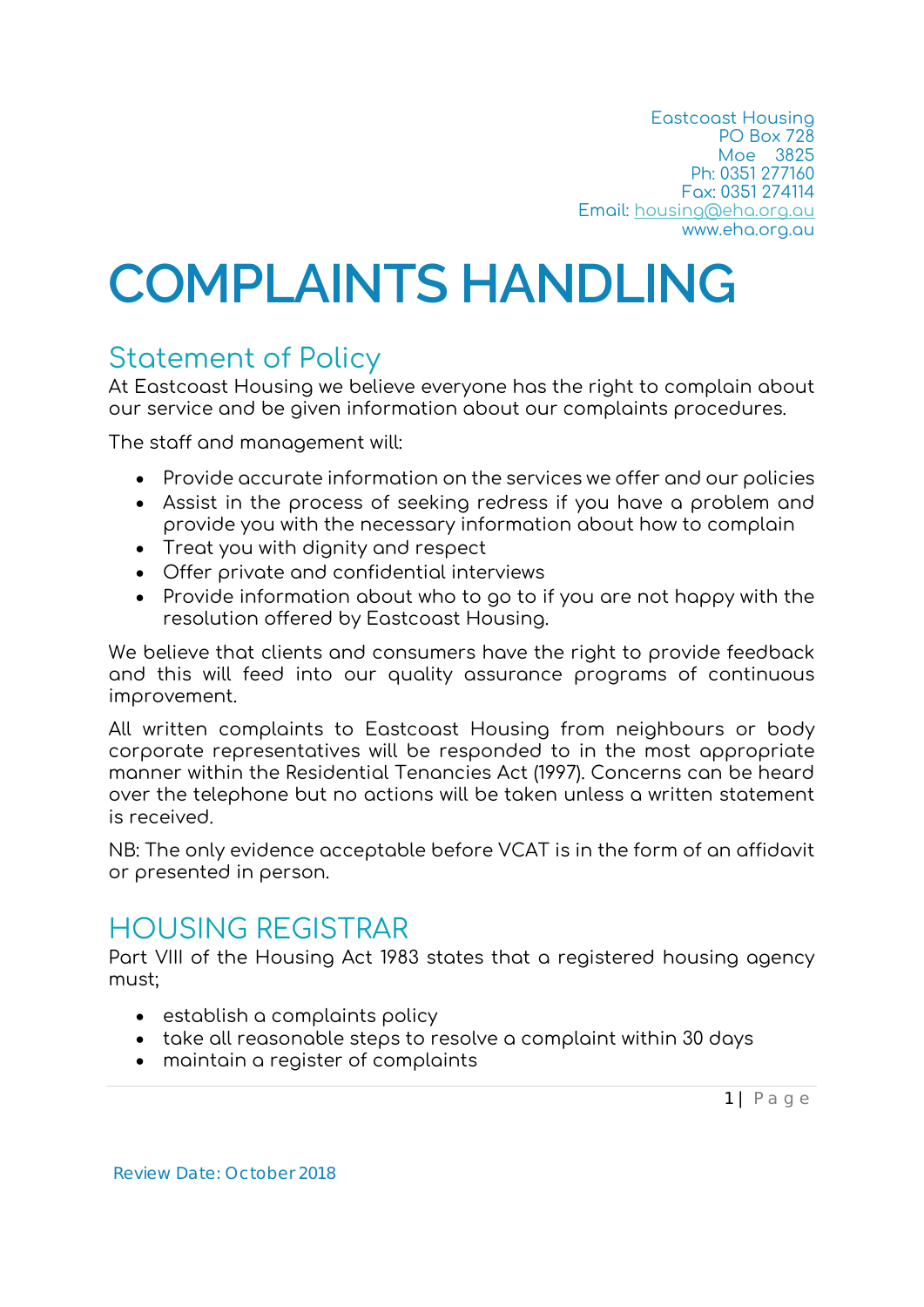# **COMPLAINTS HANDLING**

# Statement of Policy

At Eastcoast Housing we believe everyone has the right to complain about our service and be given information about our complaints procedures.

The staff and management will:

- Provide accurate information on the services we offer and our policies
- Assist in the process of seeking redress if you have a problem and provide you with the necessary information about how to complain
- Treat you with dignity and respect
- Offer private and confidential interviews
- Provide information about who to go to if you are not happy with the resolution offered by Eastcoast Housing.

We believe that clients and consumers have the right to provide feedback and this will feed into our quality assurance programs of continuous improvement.

All written complaints to Eastcoast Housing from neighbours or body corporate representatives will be responded to in the most appropriate manner within the Residential Tenancies Act (1997). Concerns can be heard over the telephone but no actions will be taken unless a written statement is received.

NB: The only evidence acceptable before VCAT is in the form of an affidavit or presented in person.

# HOUSING REGISTRAR

Part VIII of the Housing Act 1983 states that a registered housing agency must;

- establish a complaints policy
- take all reasonable steps to resolve a complaint within 30 days
- maintain a register of complaints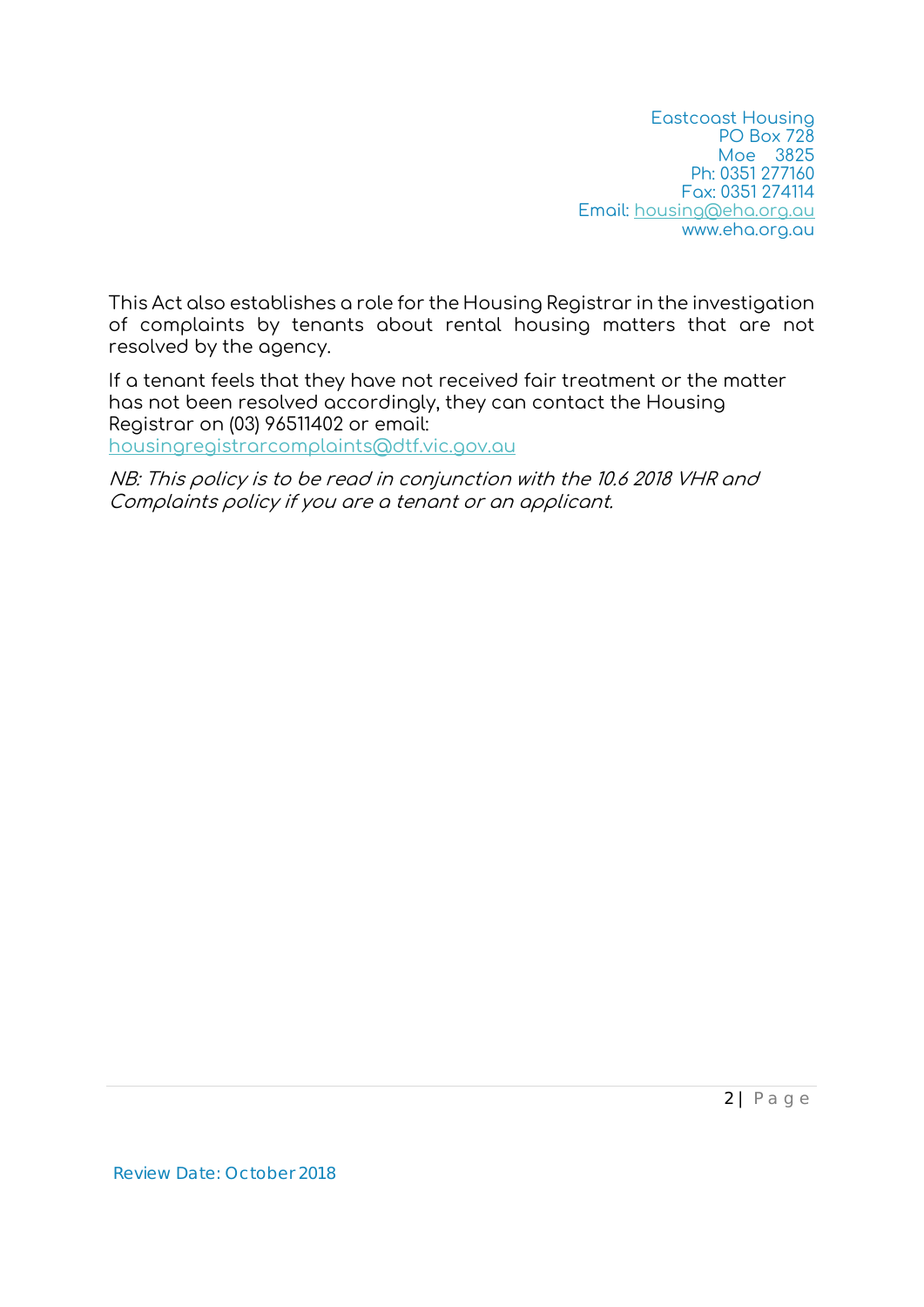This Act also establishes a role for the Housing Registrar in the investigation of complaints by tenants about rental housing matters that are not resolved by the agency.

If a tenant feels that they have not received fair treatment or the matter has not been resolved accordingly, they can contact the Housing Registrar on (03) 96511402 or email: housingregistrarcomplaints@dtf.vic.gov.au

NB: This policy is to be read in conjunction with the 10.6 2018 VHR and Complaints policy if you are a tenant or an applicant.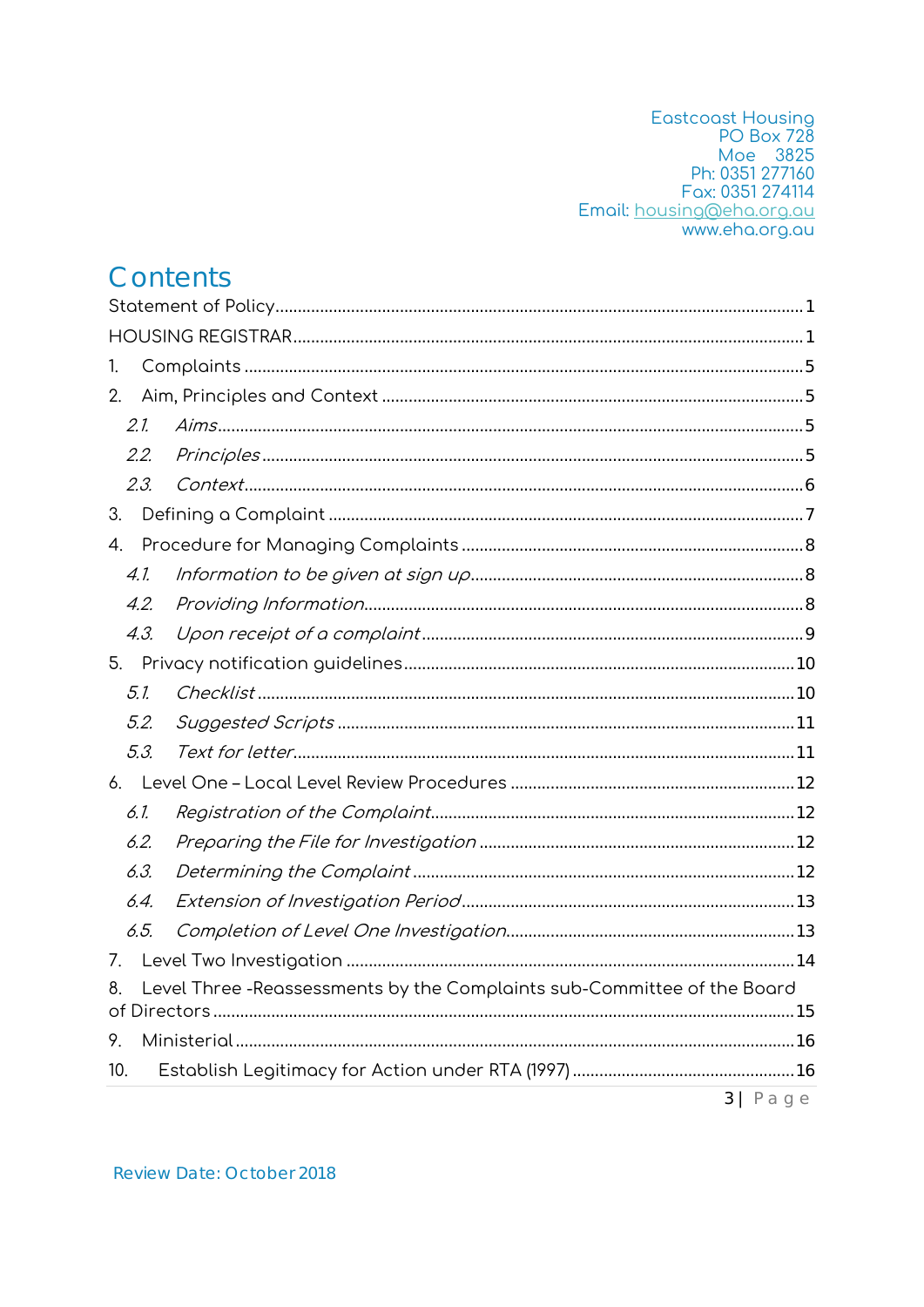Eastcoast Housing<br>
PO Box 728<br>
Moe 3825<br>
Ph: 0351 277160 Fax: 0351 274114 Email: housing@eha.org.au

# Contents

| 1.   |                                                                         |                           |  |  |
|------|-------------------------------------------------------------------------|---------------------------|--|--|
| 2.   |                                                                         |                           |  |  |
| 2.1. |                                                                         |                           |  |  |
| 2.2. |                                                                         |                           |  |  |
| 2.3. | $Context. 6$                                                            |                           |  |  |
| 3.   |                                                                         |                           |  |  |
| 4.   |                                                                         |                           |  |  |
| 4.1. |                                                                         |                           |  |  |
| 4.2. |                                                                         |                           |  |  |
| 4.3. |                                                                         |                           |  |  |
|      |                                                                         |                           |  |  |
| 5.1. |                                                                         |                           |  |  |
| 5.2. |                                                                         |                           |  |  |
| 5.3. |                                                                         |                           |  |  |
|      |                                                                         |                           |  |  |
| 6.1. |                                                                         |                           |  |  |
| 6.2. |                                                                         |                           |  |  |
| 6.3. |                                                                         |                           |  |  |
| 6.4. |                                                                         |                           |  |  |
| 6.5. |                                                                         |                           |  |  |
| 7.   |                                                                         |                           |  |  |
|      | Level Three -Reassessments by the Complaints sub-Committee of the Board |                           |  |  |
| 9.   |                                                                         |                           |  |  |
| 10.  |                                                                         |                           |  |  |
|      |                                                                         | $3   P \n  a \n  g \n  e$ |  |  |

**Review Date: October 2018**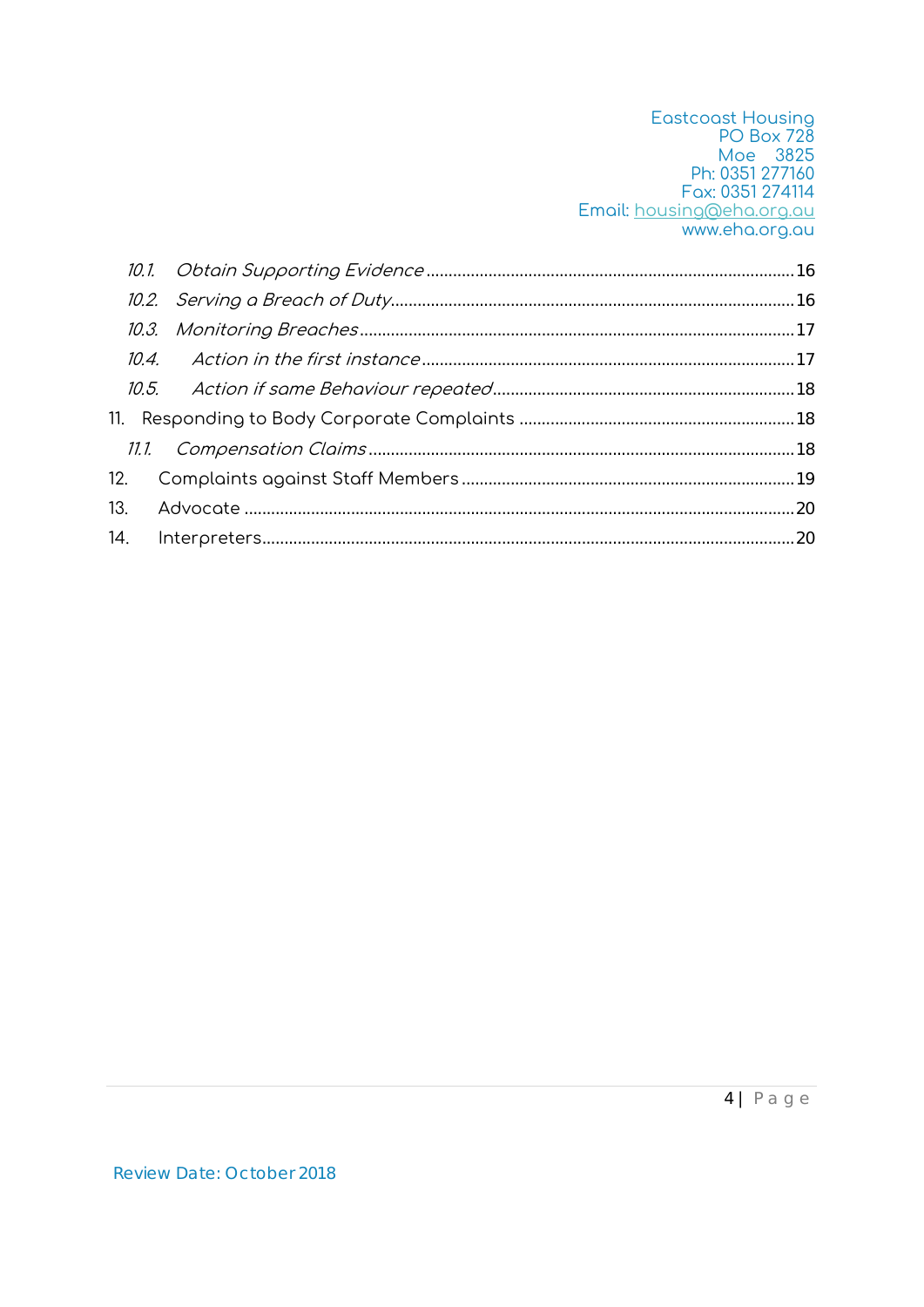Eastcoast Housing<br>
PO Box 728<br>
Moe 3825<br>
Ph: 0351 277160<br>
Fax: 0351 274114 Email: housing@eha.org.au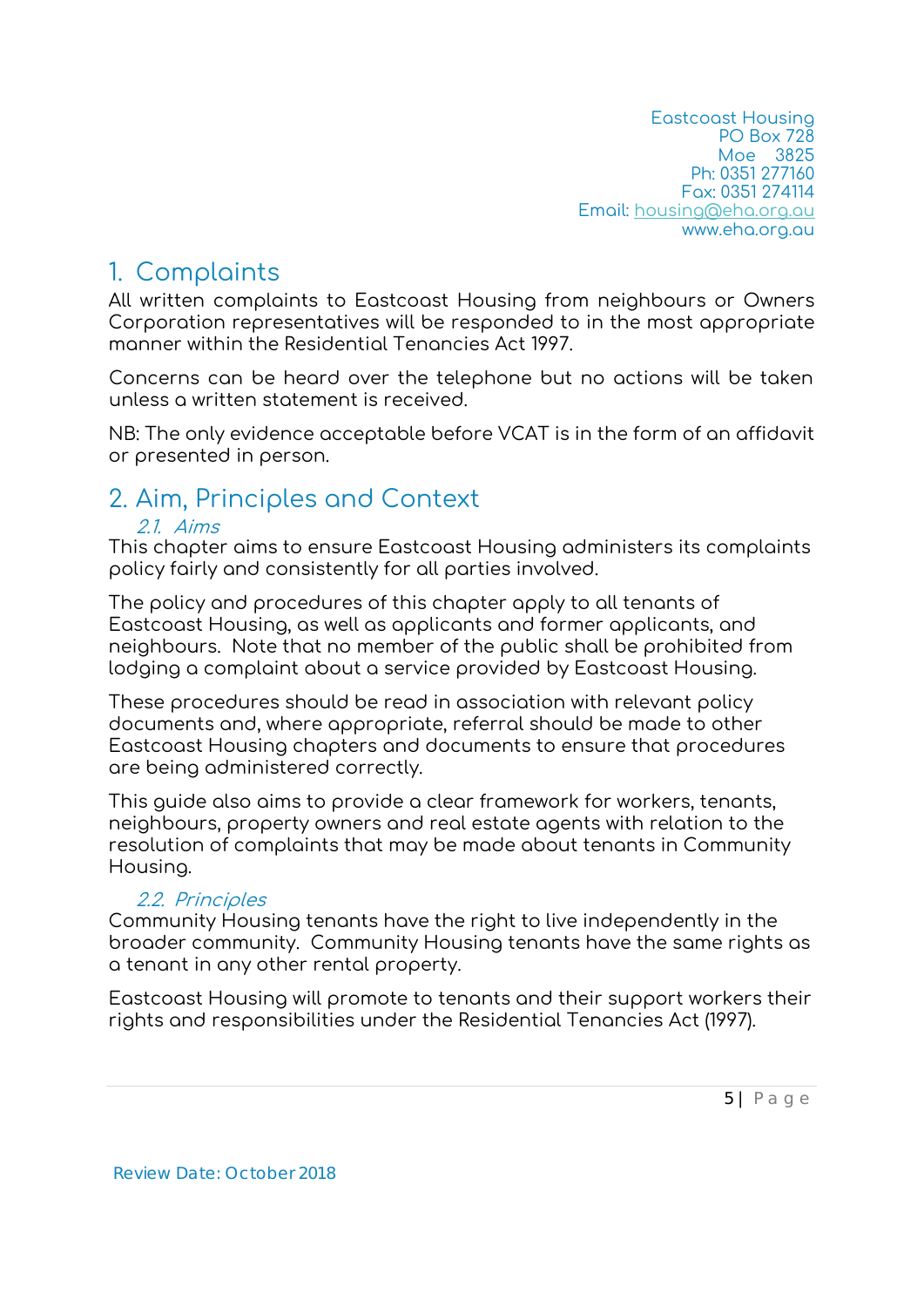### 1. Complaints

All written complaints to Eastcoast Housing from neighbours or Owners Corporation representatives will be responded to in the most appropriate manner within the Residential Tenancies Act 1997.

Concerns can be heard over the telephone but no actions will be taken unless a written statement is received.

NB: The only evidence acceptable before VCAT is in the form of an affidavit or presented in person.

# 2. Aim, Principles and Context

#### 21 Aims

This chapter aims to ensure Eastcoast Housing administers its complaints policy fairly and consistently for all parties involved.

The policy and procedures of this chapter apply to all tenants of Eastcoast Housing, as well as applicants and former applicants, and neighbours. Note that no member of the public shall be prohibited from lodging a complaint about a service provided by Eastcoast Housing.

These procedures should be read in association with relevant policy documents and, where appropriate, referral should be made to other Eastcoast Housing chapters and documents to ensure that procedures are being administered correctly.

This guide also aims to provide a clear framework for workers, tenants, neighbours, property owners and real estate agents with relation to the resolution of complaints that may be made about tenants in Community Housing.

#### 2.2. Principles

Community Housing tenants have the right to live independently in the broader community. Community Housing tenants have the same rights as a tenant in any other rental property.

Eastcoast Housing will promote to tenants and their support workers their rights and responsibilities under the Residential Tenancies Act (1997).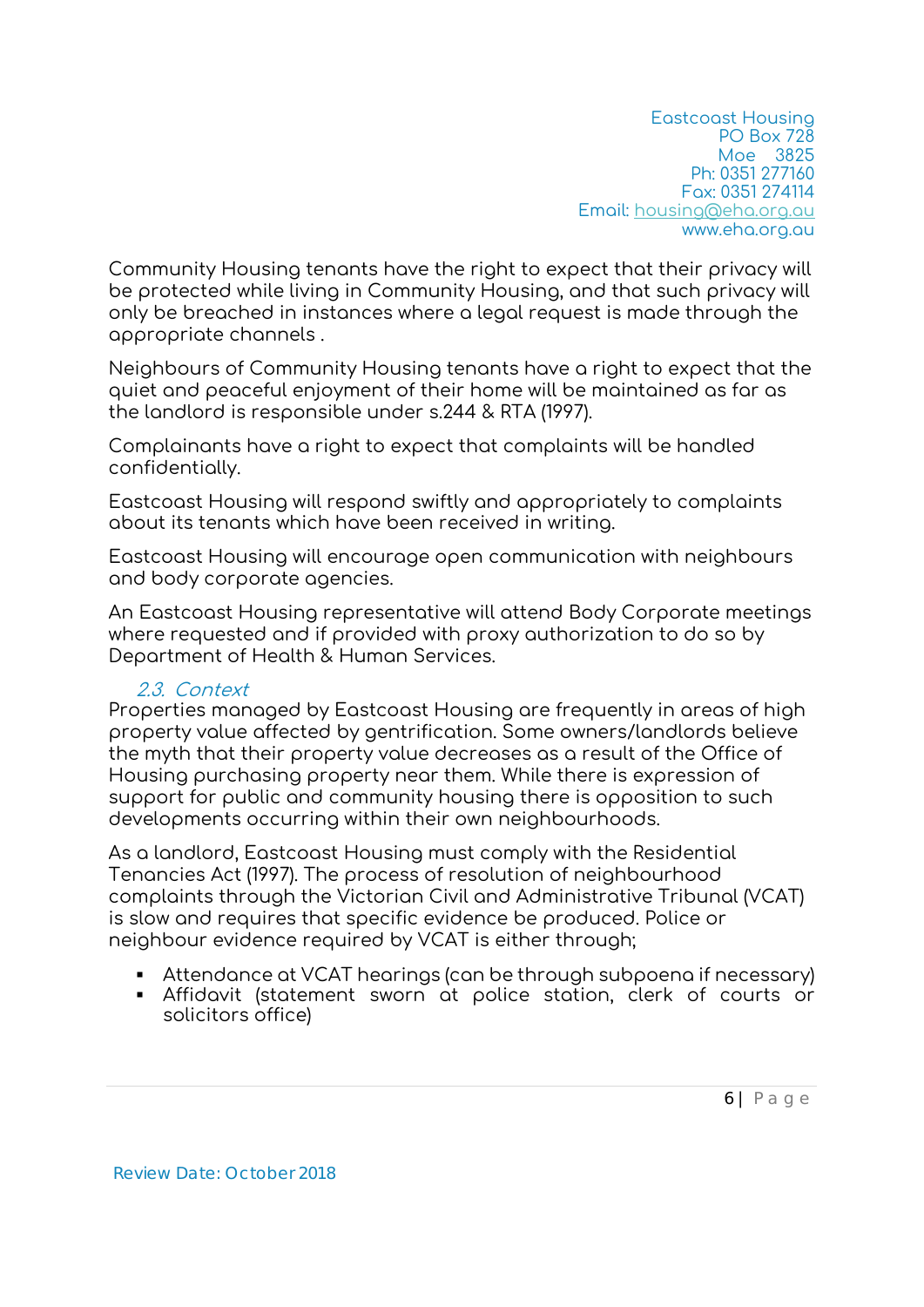Community Housing tenants have the right to expect that their privacy will be protected while living in Community Housing, and that such privacy will only be breached in instances where a legal request is made through the appropriate channels .

Neighbours of Community Housing tenants have a right to expect that the quiet and peaceful enjoyment of their home will be maintained as far as the landlord is responsible under s.244 & RTA (1997).

Complainants have a right to expect that complaints will be handled confidentially.

Eastcoast Housing will respond swiftly and appropriately to complaints about its tenants which have been received in writing.

Eastcoast Housing will encourage open communication with neighbours and body corporate agencies.

An Eastcoast Housing representative will attend Body Corporate meetings where requested and if provided with proxy authorization to do so by Department of Health & Human Services.

#### 2.3. Context

Properties managed by Eastcoast Housing are frequently in areas of high property value affected by gentrification. Some owners/landlords believe the myth that their property value decreases as a result of the Office of Housing purchasing property near them. While there is expression of support for public and community housing there is opposition to such developments occurring within their own neighbourhoods.

As a landlord, Eastcoast Housing must comply with the Residential Tenancies Act (1997). The process of resolution of neighbourhood complaints through the Victorian Civil and Administrative Tribunal (VCAT) is slow and requires that specific evidence be produced. Police or neighbour evidence required by VCAT is either through;

- Attendance at VCAT hearings (can be through subpoena if necessary)
- Affidavit (statement sworn at police station, clerk of courts or solicitors office)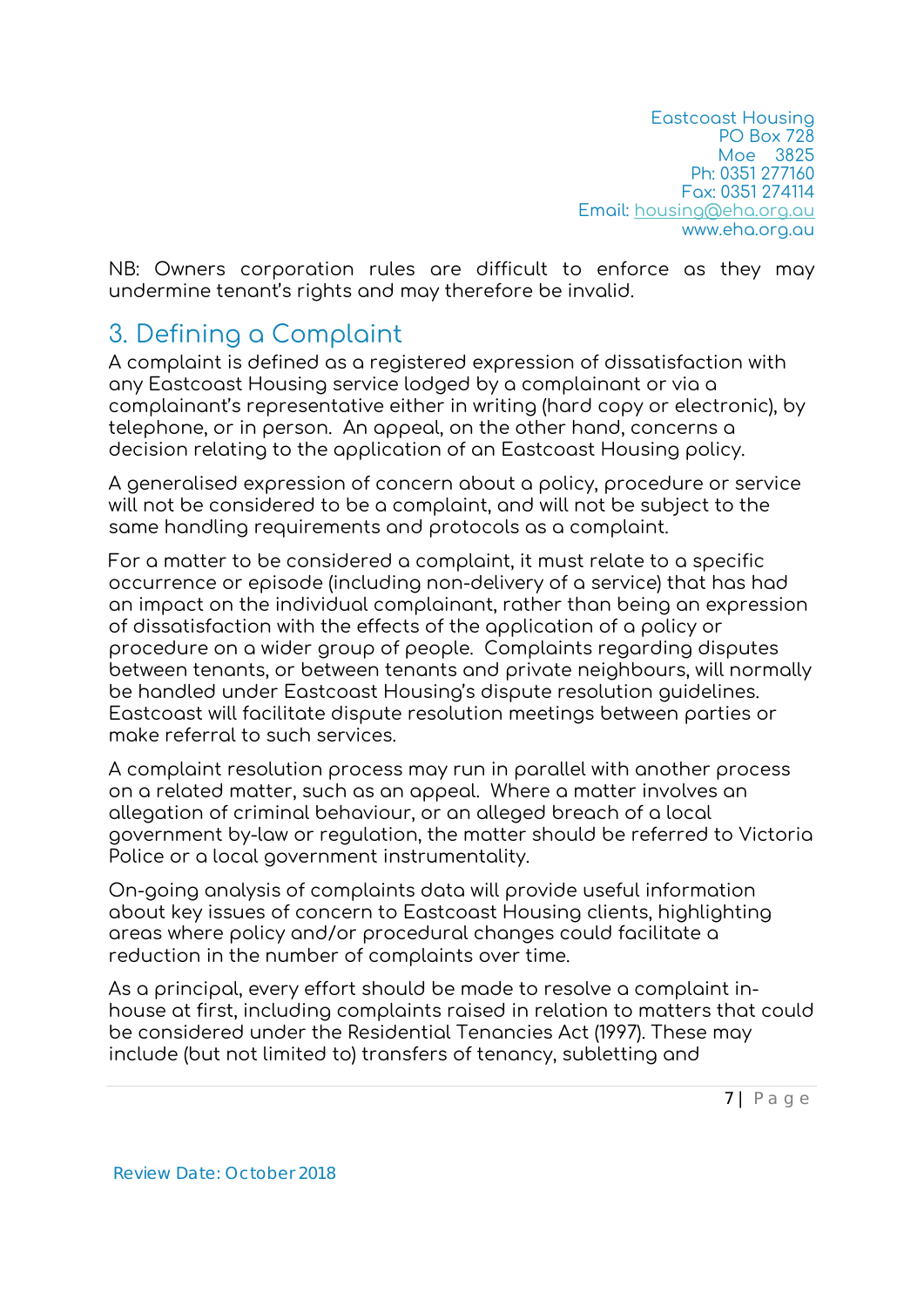NB: Owners corporation rules are difficult to enforce as they may undermine tenant's rights and may therefore be invalid.

## 3. Defining a Complaint

A complaint is defined as a registered expression of dissatisfaction with any Eastcoast Housing service lodged by a complainant or via a complainant's representative either in writing (hard copy or electronic), by telephone, or in person. An appeal, on the other hand, concerns a decision relating to the application of an Eastcoast Housing policy.

A generalised expression of concern about a policy, procedure or service will not be considered to be a complaint, and will not be subject to the same handling requirements and protocols as a complaint.

For a matter to be considered a complaint, it must relate to a specific occurrence or episode (including non-delivery of a service) that has had an impact on the individual complainant, rather than being an expression of dissatisfaction with the effects of the application of a policy or procedure on a wider group of people. Complaints regarding disputes between tenants, or between tenants and private neighbours, will normally be handled under Eastcoast Housing's dispute resolution guidelines. Eastcoast will facilitate dispute resolution meetings between parties or make referral to such services.

A complaint resolution process may run in parallel with another process on a related matter, such as an appeal. Where a matter involves an allegation of criminal behaviour, or an alleged breach of a local government by-law or regulation, the matter should be referred to Victoria Police or a local government instrumentality.

On-going analysis of complaints data will provide useful information about key issues of concern to Eastcoast Housing clients, highlighting areas where policy and/or procedural changes could facilitate a reduction in the number of complaints over time.

As a principal, every effort should be made to resolve a complaint inhouse at first, including complaints raised in relation to matters that could be considered under the Residential Tenancies Act (1997). These may include (but not limited to) transfers of tenancy, subletting and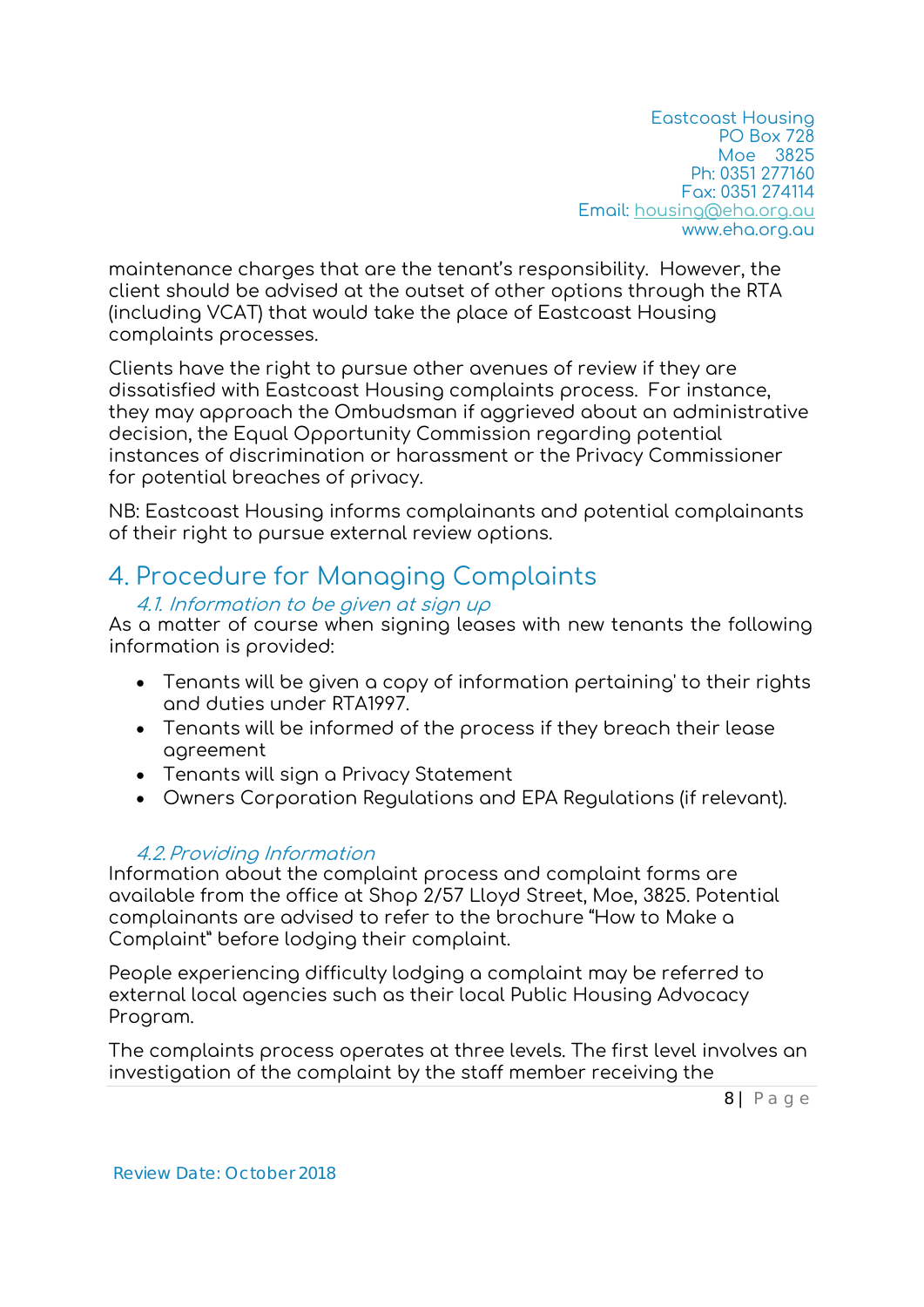maintenance charges that are the tenant's responsibility. However, the client should be advised at the outset of other options through the RTA (including VCAT) that would take the place of Eastcoast Housing complaints processes.

Clients have the right to pursue other avenues of review if they are dissatisfied with Eastcoast Housing complaints process. For instance, they may approach the Ombudsman if aggrieved about an administrative decision, the Equal Opportunity Commission regarding potential instances of discrimination or harassment or the Privacy Commissioner for potential breaches of privacy.

NB: Eastcoast Housing informs complainants and potential complainants of their right to pursue external review options.

### 4. Procedure for Managing Complaints

#### 4.1. Information to be given at sign up

As a matter of course when signing leases with new tenants the following information is provided:

- Tenants will be given a copy of information pertaining' to their rights and duties under RTA1997.
- Tenants will be informed of the process if they breach their lease agreement
- Tenants will sign a Privacy Statement
- Owners Corporation Regulations and EPA Regulations (if relevant).

#### 4.2.Providing Information

Information about the complaint process and complaint forms are available from the office at Shop 2/57 Lloyd Street, Moe, 3825. Potential complainants are advised to refer to the brochure "How to Make a Complaint" before lodging their complaint.

People experiencing difficulty lodging a complaint may be referred to external local agencies such as their local Public Housing Advocacy Program.

The complaints process operates at three levels. The first level involves an investigation of the complaint by the staff member receiving the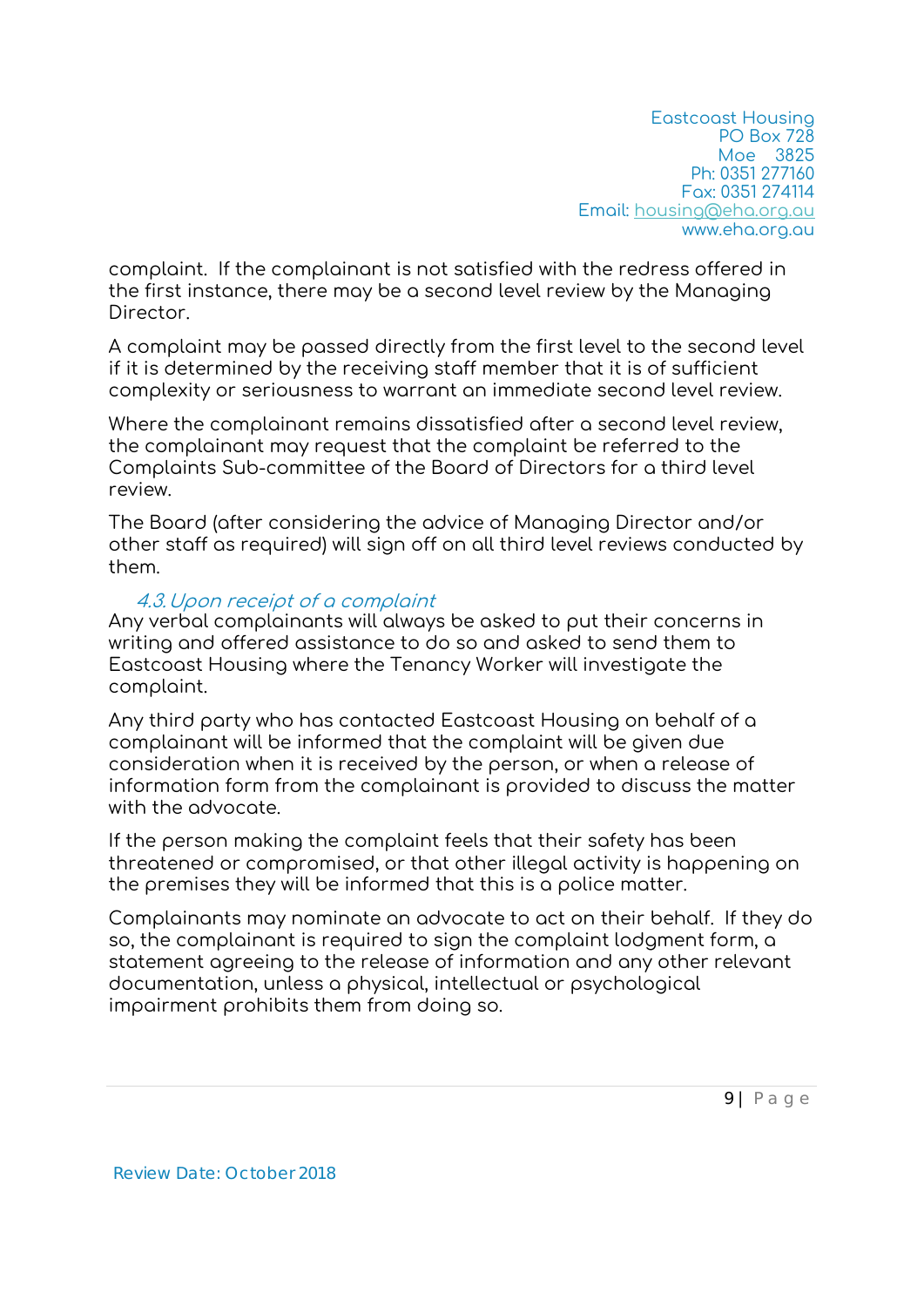complaint. If the complainant is not satisfied with the redress offered in the first instance, there may be a second level review by the Managing Director.

A complaint may be passed directly from the first level to the second level if it is determined by the receiving staff member that it is of sufficient complexity or seriousness to warrant an immediate second level review.

Where the complainant remains dissatisfied after a second level review, the complainant may request that the complaint be referred to the Complaints Sub-committee of the Board of Directors for a third level review.

The Board (after considering the advice of Managing Director and/or other staff as required) will sign off on all third level reviews conducted by them.

#### 4.3.Upon receipt of a complaint

Any verbal complainants will always be asked to put their concerns in writing and offered assistance to do so and asked to send them to Eastcoast Housing where the Tenancy Worker will investigate the complaint.

Any third party who has contacted Eastcoast Housing on behalf of a complainant will be informed that the complaint will be given due consideration when it is received by the person, or when a release of information form from the complainant is provided to discuss the matter with the advocate.

If the person making the complaint feels that their safety has been threatened or compromised, or that other illegal activity is happening on the premises they will be informed that this is a police matter.

Complainants may nominate an advocate to act on their behalf. If they do so, the complainant is required to sign the complaint lodgment form, a statement agreeing to the release of information and any other relevant documentation, unless a physical, intellectual or psychological impairment prohibits them from doing so.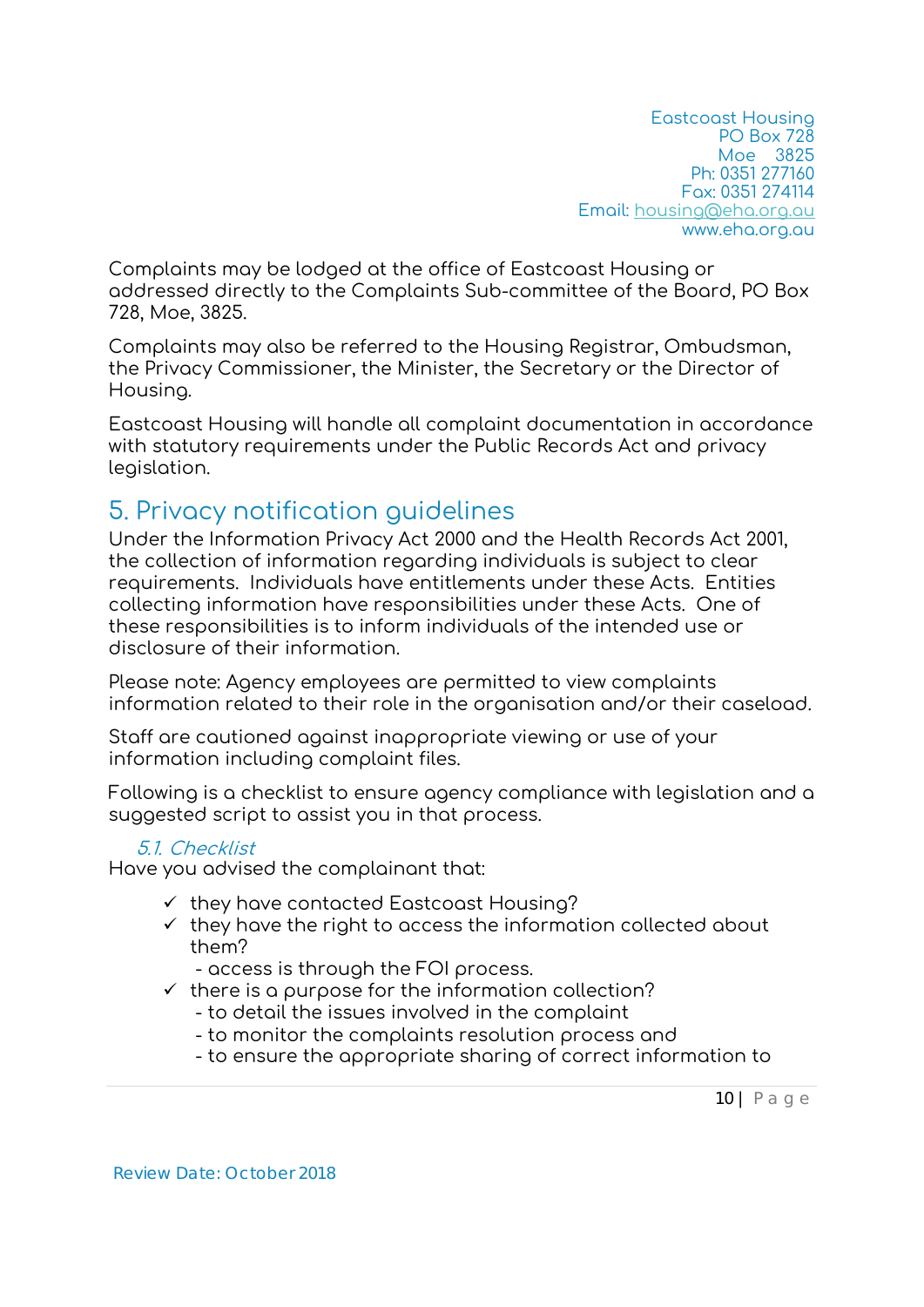Complaints may be lodged at the office of Eastcoast Housing or addressed directly to the Complaints Sub-committee of the Board, PO Box 728, Moe, 3825.

Complaints may also be referred to the Housing Registrar, Ombudsman, the Privacy Commissioner, the Minister, the Secretary or the Director of Housing.

Eastcoast Housing will handle all complaint documentation in accordance with statutory requirements under the Public Records Act and privacy legislation.

### 5. Privacy notification guidelines

Under the Information Privacy Act 2000 and the Health Records Act 2001, the collection of information regarding individuals is subject to clear requirements. Individuals have entitlements under these Acts. Entities collecting information have responsibilities under these Acts. One of these responsibilities is to inform individuals of the intended use or disclosure of their information.

Please note: Agency employees are permitted to view complaints information related to their role in the organisation and/or their caseload.

Staff are cautioned against inappropriate viewing or use of your information including complaint files.

Following is a checklist to ensure agency compliance with legislation and a suggested script to assist you in that process.

#### 5.1. Checklist

Have you advised the complainant that:

- $\checkmark$  they have contacted Eastcoast Housing?
- $\checkmark$  they have the right to access the information collected about them?
	- access is through the FOI process.
- $\checkmark$  there is a purpose for the information collection?
	- to detail the issues involved in the complaint
	- to monitor the complaints resolution process and
	- to ensure the appropriate sharing of correct information to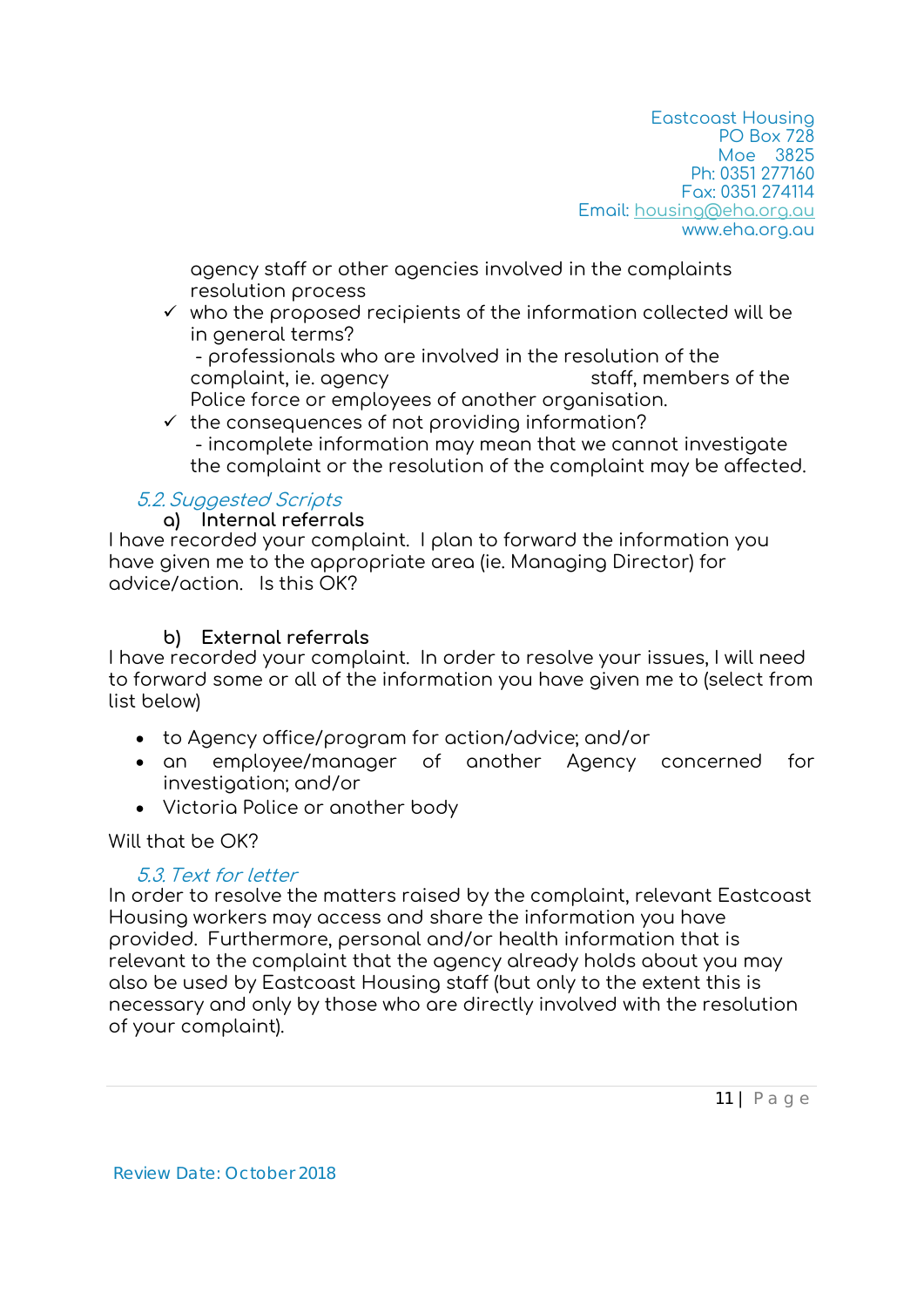agency staff or other agencies involved in the complaints resolution process

 $\checkmark$  who the proposed recipients of the information collected will be in general terms?

 - professionals who are involved in the resolution of the complaint, ie. agency staff, members of the Police force or employees of another organisation.

 $\checkmark$  the consequences of not providing information? - incomplete information may mean that we cannot investigate the complaint or the resolution of the complaint may be affected.

#### 5.2.Suggested Scripts

**a) Internal referrals** 

I have recorded your complaint. I plan to forward the information you have given me to the appropriate area (ie. Managing Director) for advice/action. Is this OK?

#### **b) External referrals**

I have recorded your complaint. In order to resolve your issues, I will need to forward some or all of the information you have given me to (select from list below)

- to Agency office/program for action/advice; and/or
- an employee/manager of another Agency concerned for investigation; and/or
- Victoria Police or another body

Will that be OK?

#### 5.3.Text for letter

In order to resolve the matters raised by the complaint, relevant Eastcoast Housing workers may access and share the information you have provided. Furthermore, personal and/or health information that is relevant to the complaint that the agency already holds about you may also be used by Eastcoast Housing staff (but only to the extent this is necessary and only by those who are directly involved with the resolution of your complaint).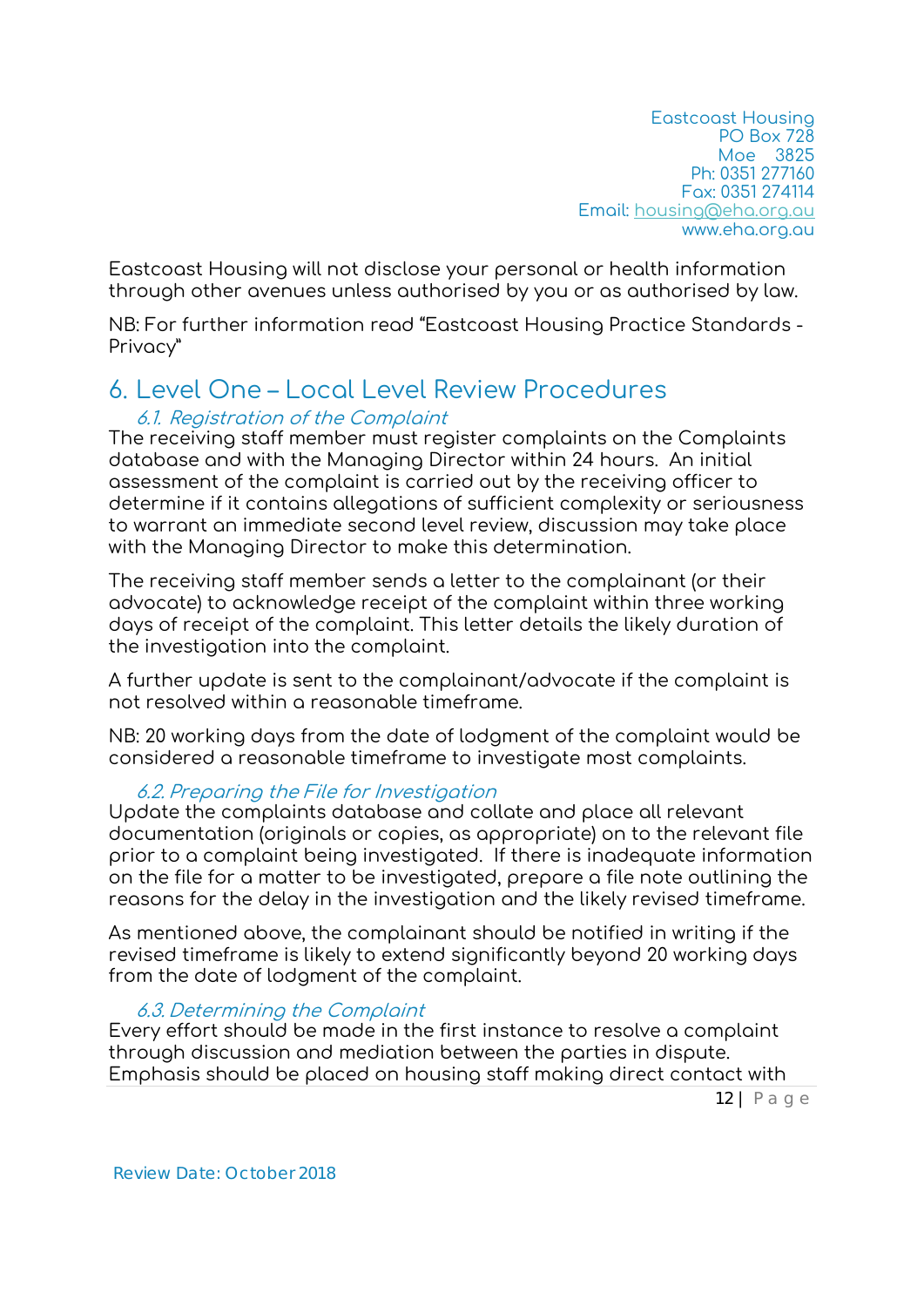Eastcoast Housing will not disclose your personal or health information through other avenues unless authorised by you or as authorised by law.

NB: For further information read "Eastcoast Housing Practice Standards - Privacy"

### 6. Level One – Local Level Review Procedures

#### 6.1. Registration of the Complaint

The receiving staff member must register complaints on the Complaints database and with the Managing Director within 24 hours. An initial assessment of the complaint is carried out by the receiving officer to determine if it contains allegations of sufficient complexity or seriousness to warrant an immediate second level review, discussion may take place with the Managing Director to make this determination.

The receiving staff member sends a letter to the complainant (or their advocate) to acknowledge receipt of the complaint within three working days of receipt of the complaint. This letter details the likely duration of the investigation into the complaint.

A further update is sent to the complainant/advocate if the complaint is not resolved within a reasonable timeframe.

NB: 20 working days from the date of lodgment of the complaint would be considered a reasonable timeframe to investigate most complaints.

#### 6.2. Preparing the File for Investigation

Update the complaints database and collate and place all relevant documentation (originals or copies, as appropriate) on to the relevant file prior to a complaint being investigated. If there is inadequate information on the file for a matter to be investigated, prepare a file note outlining the reasons for the delay in the investigation and the likely revised timeframe.

As mentioned above, the complainant should be notified in writing if the revised timeframe is likely to extend significantly beyond 20 working days from the date of lodgment of the complaint.

#### 6.3. Determining the Complaint

Every effort should be made in the first instance to resolve a complaint through discussion and mediation between the parties in dispute. Emphasis should be placed on housing staff making direct contact with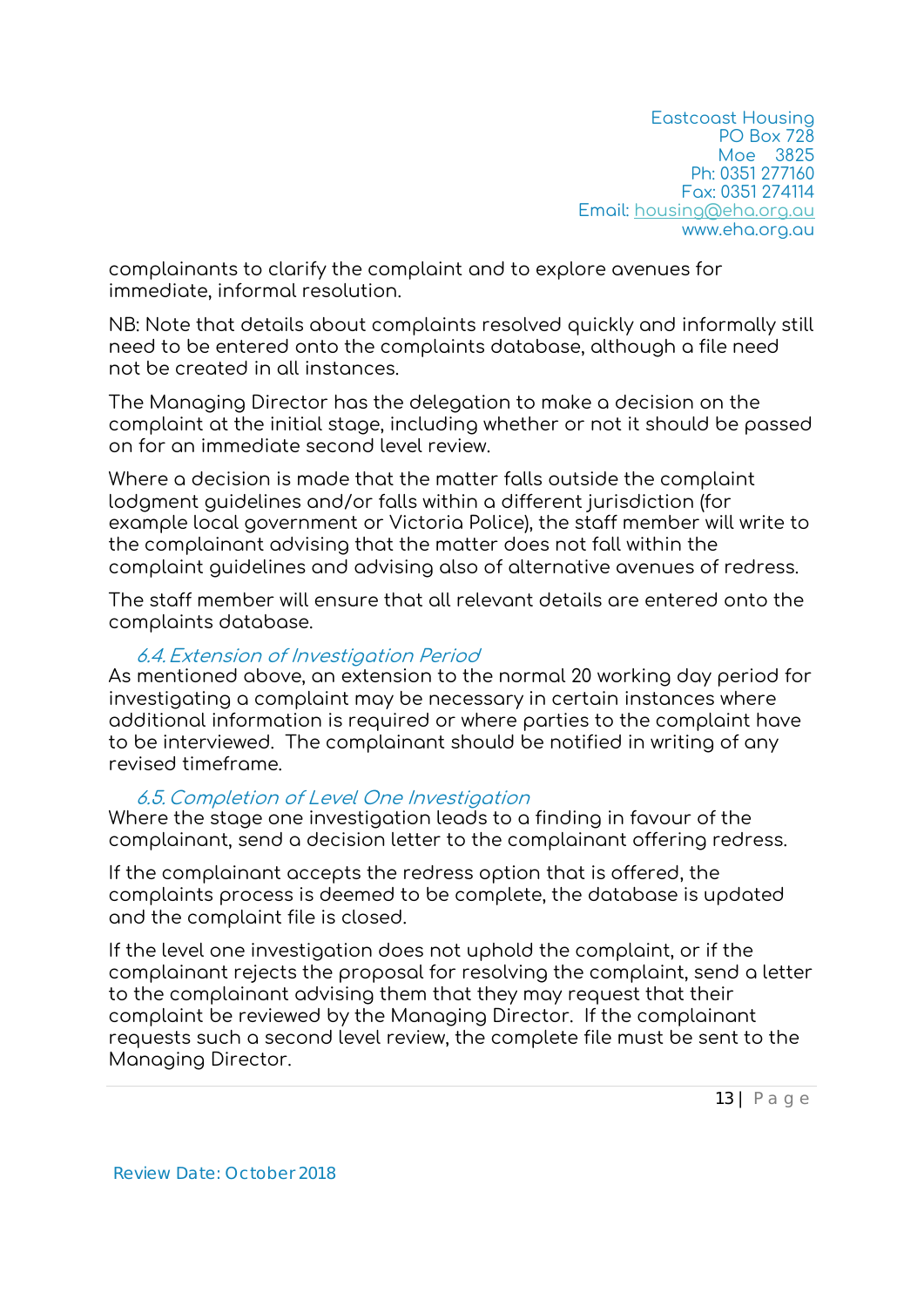complainants to clarify the complaint and to explore avenues for immediate, informal resolution.

NB: Note that details about complaints resolved quickly and informally still need to be entered onto the complaints database, although a file need not be created in all instances.

The Managing Director has the delegation to make a decision on the complaint at the initial stage, including whether or not it should be passed on for an immediate second level review.

Where a decision is made that the matter falls outside the complaint lodgment guidelines and/or falls within a different jurisdiction (for example local government or Victoria Police), the staff member will write to the complainant advising that the matter does not fall within the complaint guidelines and advising also of alternative avenues of redress.

The staff member will ensure that all relevant details are entered onto the complaints database.

#### 6.4.Extension of Investigation Period

As mentioned above, an extension to the normal 20 working day period for investigating a complaint may be necessary in certain instances where additional information is required or where parties to the complaint have to be interviewed. The complainant should be notified in writing of any revised timeframe.

#### 6.5. Completion of Level One Investigation

Where the stage one investigation leads to a finding in favour of the complainant, send a decision letter to the complainant offering redress.

If the complainant accepts the redress option that is offered, the complaints process is deemed to be complete, the database is updated and the complaint file is closed.

If the level one investigation does not uphold the complaint, or if the complainant rejects the proposal for resolving the complaint, send a letter to the complainant advising them that they may request that their complaint be reviewed by the Managing Director. If the complainant requests such a second level review, the complete file must be sent to the Managing Director.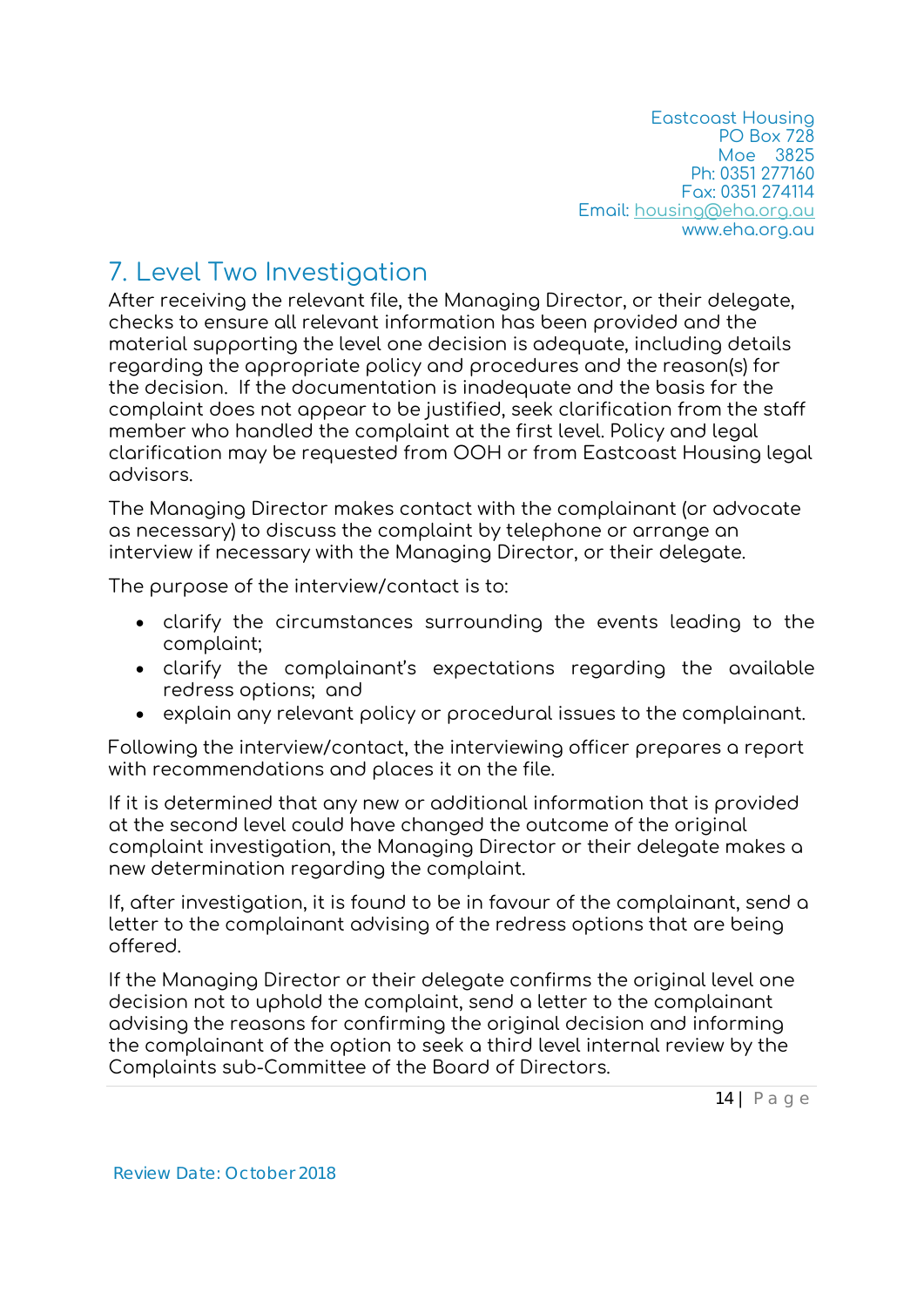# 7. Level Two Investigation

After receiving the relevant file, the Managing Director, or their delegate, checks to ensure all relevant information has been provided and the material supporting the level one decision is adequate, including details regarding the appropriate policy and procedures and the reason(s) for the decision. If the documentation is inadequate and the basis for the complaint does not appear to be justified, seek clarification from the staff member who handled the complaint at the first level. Policy and legal clarification may be requested from OOH or from Eastcoast Housing legal advisors.

The Managing Director makes contact with the complainant (or advocate as necessary) to discuss the complaint by telephone or arrange an interview if necessary with the Managing Director, or their delegate.

The purpose of the interview/contact is to:

- clarify the circumstances surrounding the events leading to the complaint;
- clarify the complainant's expectations regarding the available redress options; and
- explain any relevant policy or procedural issues to the complainant.

Following the interview/contact, the interviewing officer prepares a report with recommendations and places it on the file.

If it is determined that any new or additional information that is provided at the second level could have changed the outcome of the original complaint investigation, the Managing Director or their delegate makes a new determination regarding the complaint.

If, after investigation, it is found to be in favour of the complainant, send a letter to the complainant advising of the redress options that are being offered.

If the Managing Director or their delegate confirms the original level one decision not to uphold the complaint, send a letter to the complainant advising the reasons for confirming the original decision and informing the complainant of the option to seek a third level internal review by the Complaints sub-Committee of the Board of Directors.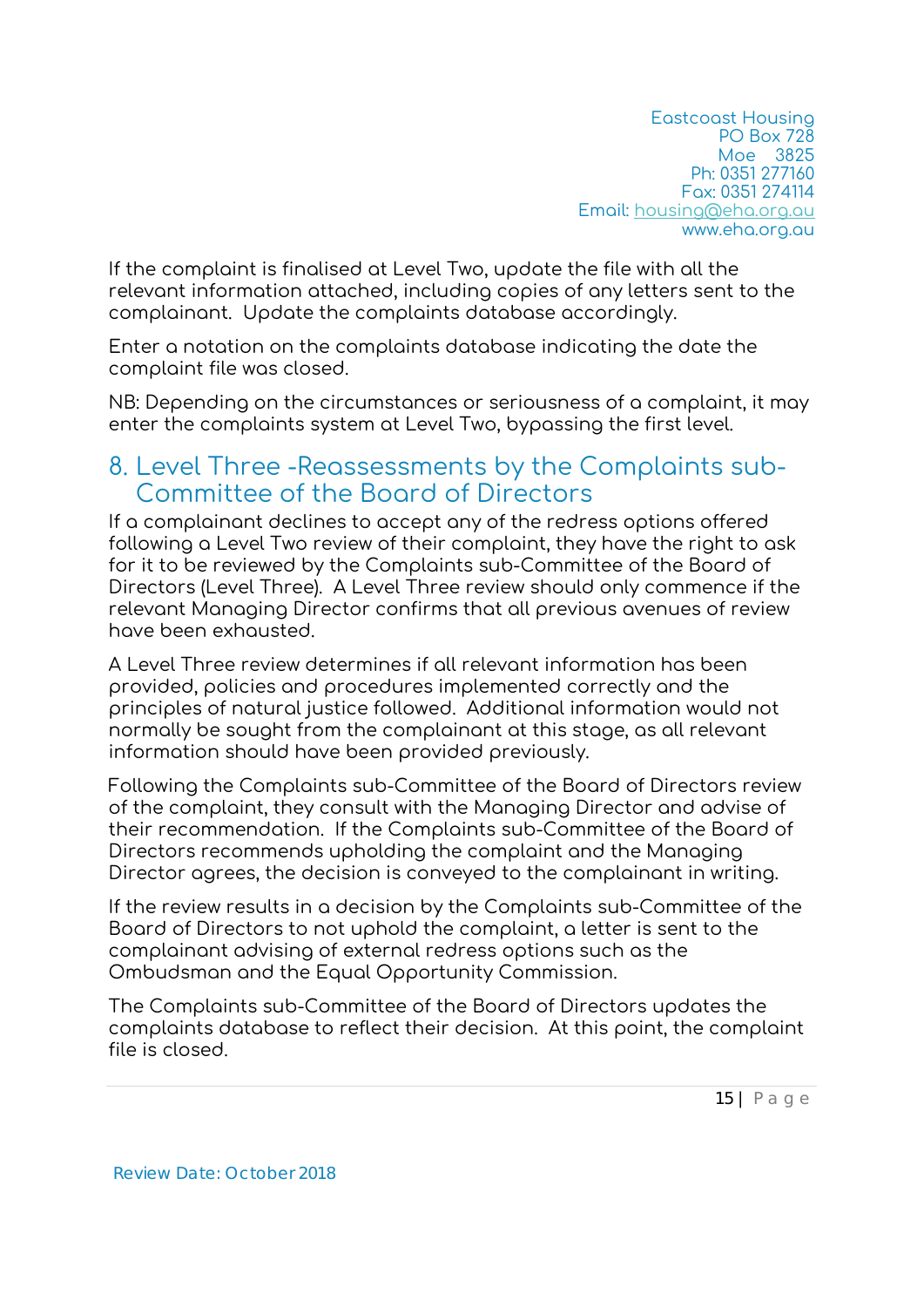If the complaint is finalised at Level Two, update the file with all the relevant information attached, including copies of any letters sent to the complainant. Update the complaints database accordingly.

Enter a notation on the complaints database indicating the date the complaint file was closed.

NB: Depending on the circumstances or seriousness of a complaint, it may enter the complaints system at Level Two, bypassing the first level.

### 8. Level Three -Reassessments by the Complaints sub-Committee of the Board of Directors

If a complainant declines to accept any of the redress options offered following a Level Two review of their complaint, they have the right to ask for it to be reviewed by the Complaints sub-Committee of the Board of Directors (Level Three). A Level Three review should only commence if the relevant Managing Director confirms that all previous avenues of review have been exhausted.

A Level Three review determines if all relevant information has been provided, policies and procedures implemented correctly and the principles of natural justice followed. Additional information would not normally be sought from the complainant at this stage, as all relevant information should have been provided previously.

Following the Complaints sub-Committee of the Board of Directors review of the complaint, they consult with the Managing Director and advise of their recommendation. If the Complaints sub-Committee of the Board of Directors recommends upholding the complaint and the Managing Director agrees, the decision is conveyed to the complainant in writing.

If the review results in a decision by the Complaints sub-Committee of the Board of Directors to not uphold the complaint, a letter is sent to the complainant advising of external redress options such as the Ombudsman and the Equal Opportunity Commission.

The Complaints sub-Committee of the Board of Directors updates the complaints database to reflect their decision. At this point, the complaint file is closed.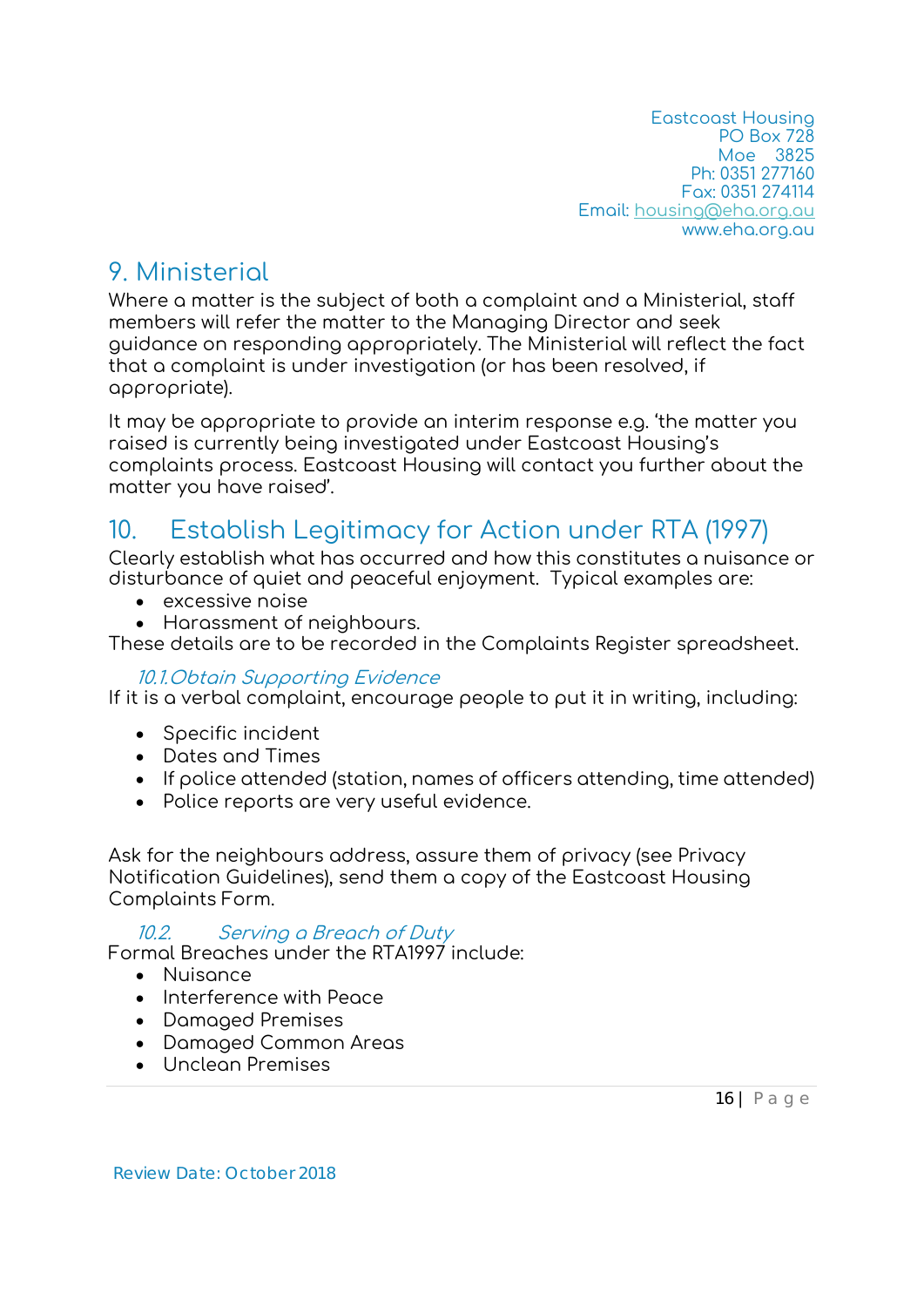### 9. Ministerial

Where a matter is the subject of both a complaint and a Ministerial, staff members will refer the matter to the Managing Director and seek guidance on responding appropriately. The Ministerial will reflect the fact that a complaint is under investigation (or has been resolved, if appropriate).

It may be appropriate to provide an interim response e.g. 'the matter you raised is currently being investigated under Eastcoast Housing's complaints process. Eastcoast Housing will contact you further about the matter you have raised'.

# 10. Establish Legitimacy for Action under RTA (1997)

Clearly establish what has occurred and how this constitutes a nuisance or disturbance of quiet and peaceful enjoyment. Typical examples are:

- excessive noise
- Harassment of neighbours.

These details are to be recorded in the Complaints Register spreadsheet.

#### 10.1.Obtain Supporting Evidence

If it is a verbal complaint, encourage people to put it in writing, including:

- Specific incident
- Dates and Times
- If police attended (station, names of officers attending, time attended)
- Police reports are very useful evidence.

Ask for the neighbours address, assure them of privacy (see Privacy Notification Guidelines), send them a copy of the Eastcoast Housing Complaints Form.

10.2. Serving a Breach of Duty

Formal Breaches under the RTA1997 include:

- Nuisance
- Interference with Peace
- Damaged Premises
- Damaged Common Areas
- Unclean Premises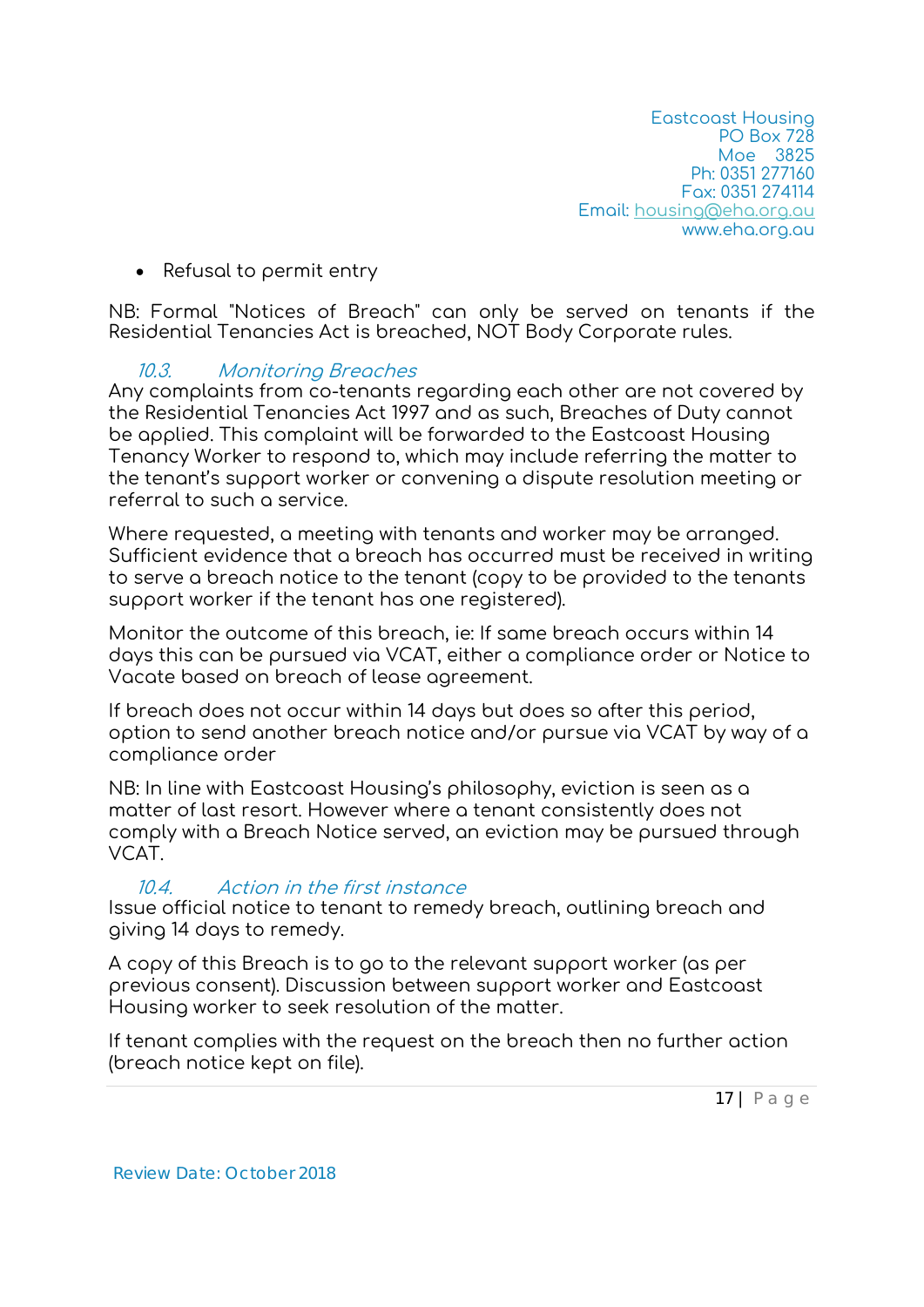• Refusal to permit entry

NB: Formal "Notices of Breach" can only be served on tenants if the Residential Tenancies Act is breached, NOT Body Corporate rules.

#### 10.3. Monitoring Breaches

Any complaints from co-tenants regarding each other are not covered by the Residential Tenancies Act 1997 and as such, Breaches of Duty cannot be applied. This complaint will be forwarded to the Eastcoast Housing Tenancy Worker to respond to, which may include referring the matter to the tenant's support worker or convening a dispute resolution meeting or referral to such a service.

Where requested, a meeting with tenants and worker may be arranged. Sufficient evidence that a breach has occurred must be received in writing to serve a breach notice to the tenant (copy to be provided to the tenants support worker if the tenant has one registered).

Monitor the outcome of this breach, ie: If same breach occurs within 14 days this can be pursued via VCAT, either a compliance order or Notice to Vacate based on breach of lease agreement.

If breach does not occur within 14 days but does so after this period, option to send another breach notice and/or pursue via VCAT by way of a compliance order

NB: In line with Eastcoast Housing's philosophy, eviction is seen as a matter of last resort. However where a tenant consistently does not comply with a Breach Notice served, an eviction may be pursued through VCAT.

#### 10.4. Action in the first instance

Issue official notice to tenant to remedy breach, outlining breach and giving 14 days to remedy.

A copy of this Breach is to go to the relevant support worker (as per previous consent). Discussion between support worker and Eastcoast Housing worker to seek resolution of the matter.

If tenant complies with the request on the breach then no further action (breach notice kept on file).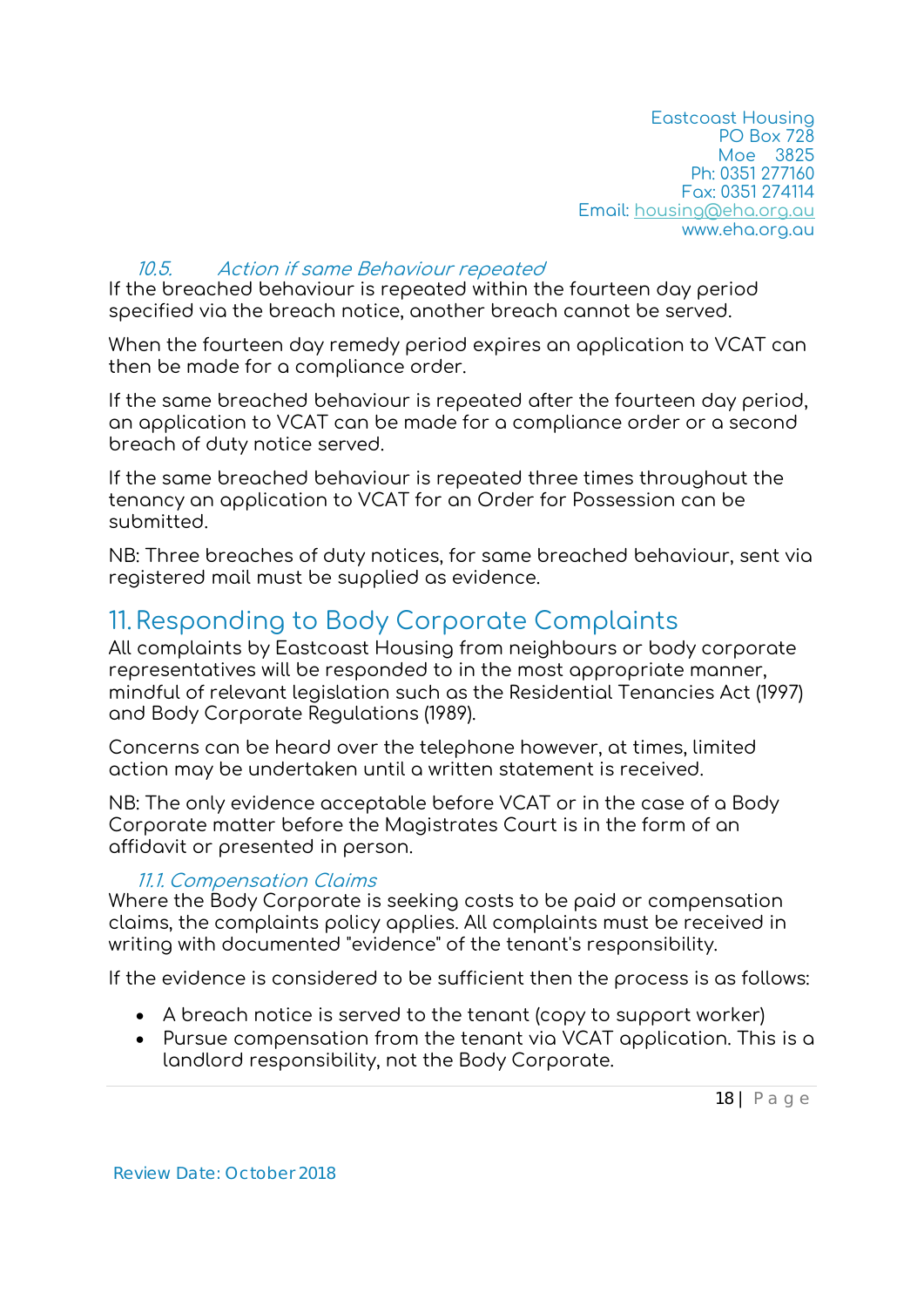#### 10.5. Action if same Behaviour repeated

If the breached behaviour is repeated within the fourteen day period specified via the breach notice, another breach cannot be served.

When the fourteen day remedy period expires an application to VCAT can then be made for a compliance order.

If the same breached behaviour is repeated after the fourteen day period, an application to VCAT can be made for a compliance order or a second breach of duty notice served.

If the same breached behaviour is repeated three times throughout the tenancy an application to VCAT for an Order for Possession can be submitted.

NB: Three breaches of duty notices, for same breached behaviour, sent via registered mail must be supplied as evidence.

### 11.Responding to Body Corporate Complaints

All complaints by Eastcoast Housing from neighbours or body corporate representatives will be responded to in the most appropriate manner, mindful of relevant legislation such as the Residential Tenancies Act (1997) and Body Corporate Regulations (1989).

Concerns can be heard over the telephone however, at times, limited action may be undertaken until a written statement is received.

NB: The only evidence acceptable before VCAT or in the case of a Body Corporate matter before the Magistrates Court is in the form of an affidavit or presented in person.

#### 11.1. Compensation Claims

Where the Body Corporate is seeking costs to be paid or compensation claims, the complaints policy applies. All complaints must be received in writing with documented "evidence" of the tenant's responsibility.

If the evidence is considered to be sufficient then the process is as follows:

- A breach notice is served to the tenant (copy to support worker)
- Pursue compensation from the tenant via VCAT application. This is a landlord responsibility, not the Body Corporate.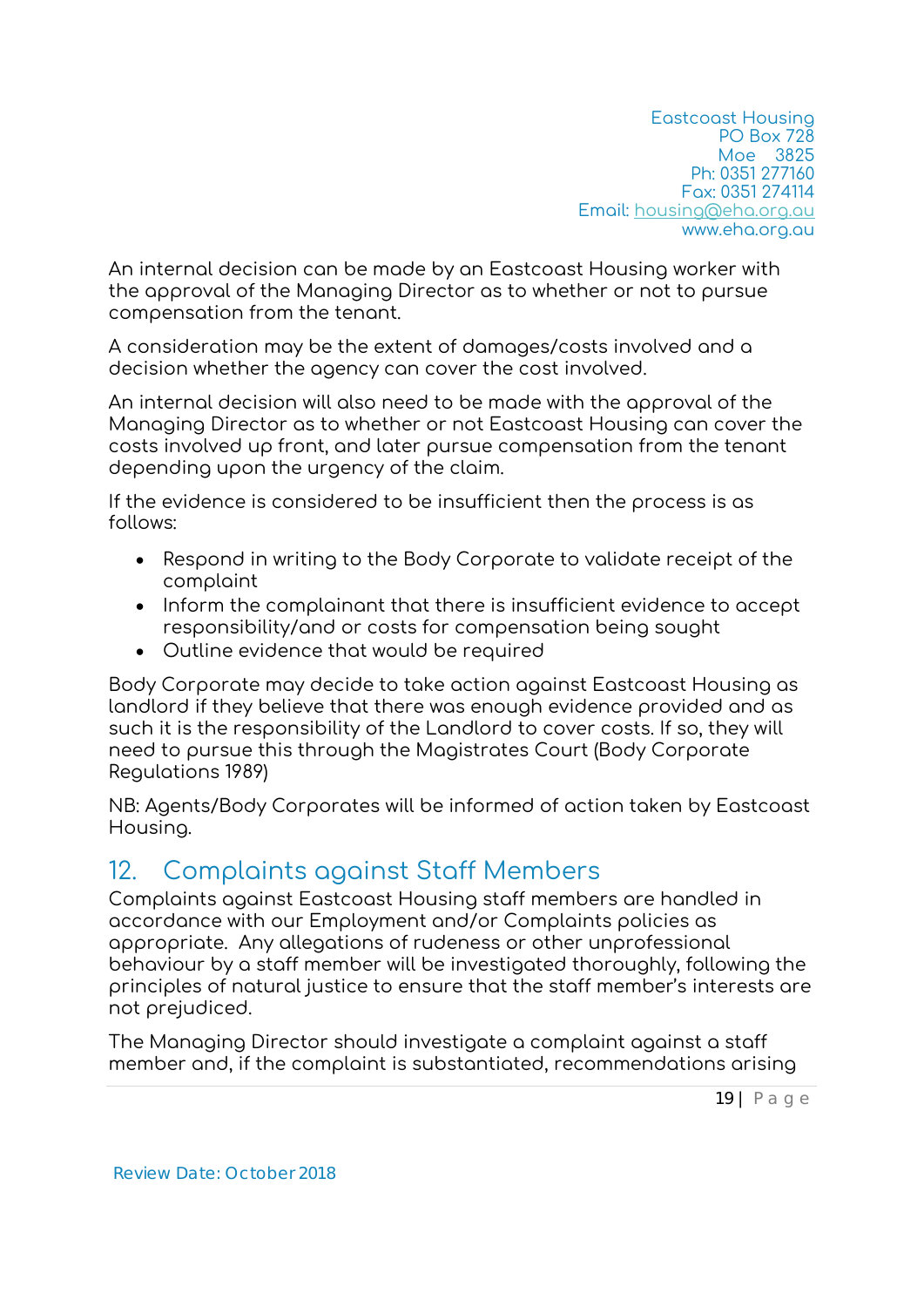An internal decision can be made by an Eastcoast Housing worker with the approval of the Managing Director as to whether or not to pursue compensation from the tenant.

A consideration may be the extent of damages/costs involved and a decision whether the agency can cover the cost involved.

An internal decision will also need to be made with the approval of the Managing Director as to whether or not Eastcoast Housing can cover the costs involved up front, and later pursue compensation from the tenant depending upon the urgency of the claim.

If the evidence is considered to be insufficient then the process is as follows:

- Respond in writing to the Body Corporate to validate receipt of the complaint
- Inform the complainant that there is insufficient evidence to accept responsibility/and or costs for compensation being sought
- Outline evidence that would be required

Body Corporate may decide to take action against Eastcoast Housing as landlord if they believe that there was enough evidence provided and as such it is the responsibility of the Landlord to cover costs. If so, they will need to pursue this through the Magistrates Court (Body Corporate Regulations 1989)

NB: Agents/Body Corporates will be informed of action taken by Eastcoast Housing.

### 12. Complaints against Staff Members

Complaints against Eastcoast Housing staff members are handled in accordance with our Employment and/or Complaints policies as appropriate. Any allegations of rudeness or other unprofessional behaviour by a staff member will be investigated thoroughly, following the principles of natural justice to ensure that the staff member's interests are not prejudiced.

The Managing Director should investigate a complaint against a staff member and, if the complaint is substantiated, recommendations arising